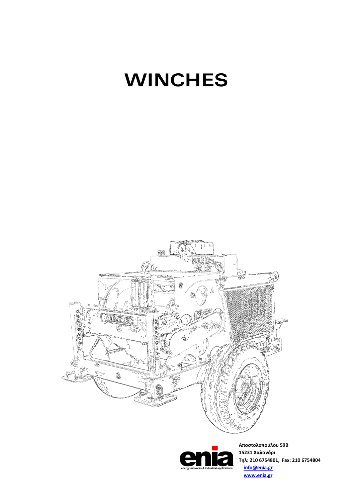# **WINCHES**





**Αποστολοπούλου 59Β 15231 Χαλάνδρι Τηλ: 210 6754801, Fax: 210 6754804 info@enia.gr www.enia.gr**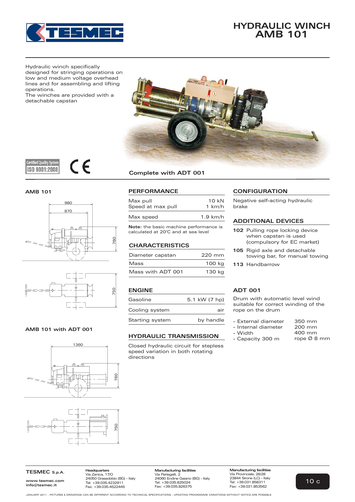

# **HYDRAULIC WINCH AMB 101**

Hydraulic winch specifically designed for stringing operations on low and medium voltage overhead lines and for assembling and lifting operations.

The winches are provided with a detachable capstan











# **AMB 101 with ADT 001**





# **Complete with ADT 001**

| Max pull          | 10 kN      |
|-------------------|------------|
| Speed at max pull | 1 km/h     |
| Max speed         | $1.9$ km/h |

**Note:** the basic machine performance is calculated at 20°C and at sea level

# **CHARACTERISTICS**

| Diameter capstan  | 220 mm |
|-------------------|--------|
| Mass              | 100 kg |
| Mass with ADT 001 | 130 kg |

# **ENGINE**

| Gasoline        | 5.1 kW (7 hp) |
|-----------------|---------------|
| Cooling system  | air           |
| Starting system | by handle     |

# **HYDRAULIC TRANSMISSION**

Closed hydraulic circuit for stepless speed variation in both rotating directions

# **PERFORMANCE CONFIGURATION**

Negative self-acting hydraulic brake

# **ADDITIONAL DEVICES**

- **102** Pulling rope locking device when capstan is used (compulsory for EC market)
- **105** Rigid axle and detachable towing bar, for manual towing
- **113** Handbarrow

# **ADT 001**

Drum with automatic level wind suitable for correct winding of the rope on the drum

- External diameter 350 mm
- Internal diameter
- Width
- Capacity 300 m
- 200 mm 400 mm rope Ø 8 mm

**TESMEC S.p.A.**

**www.tesmec.com info@tesmec.it**

**Headquarters** Via Zanica, 17/O 24050 Grassobbio (BG) - Italy Tel: +39.035.4232911 Fax: +39.035.4522445

**Manufacturing facilities** Via Pertegalli, 2 24060 Endine Gaiano (BG) - Italy Tel: +39.035.825024 Fax: +39.035.826375

**Manufacturing facilities** Via Provinciale, 26/28 23844 Sirone (LC) - Italy Tel: +39.031.858311 Fax: +39.031.853562

JANUARY 2011 - PICTURES & DRAWINGS CAN BE DIFFERENT ACCORDING TO TECHNICAL SPECIFICATIONS - UPDATING PROGRAMME VARIATIONS WITHOUT NOTICE ARE POSSIBLE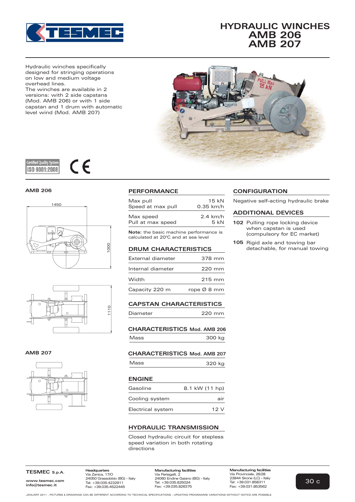

# **HYDRAULIC WINCHES AMB 206 AMB 207**

Hydraulic winches specifically designed for stringing operations on low and medium voltage overhead lines.

The winches are available in 2 versions: with 2 side capstans (Mod. AMB 206) or with 1 side capstan and 1 drum with automatic level wind (Mod. AMB 207)



#### $\epsilon$ **Certified Quality Syster** ISO 9001:2008

# **AMB 206**





### **AMB 207**



# **PERFORMANCE**

| Max pull          | $15 \;$ k $N$ |
|-------------------|---------------|
| Speed at max pull | $0.35$ km/h   |
| Max speed         | $2.4$ km/h    |
| Pull at max speed | 5kN           |

**Note:** the basic machine performance is calculated at 20°C and at sea level

#### **DRUM CHARACTERISTICS**

| External diameter | 378 mm      |
|-------------------|-------------|
| Internal diameter | 220 mm      |
| Width             | 215 mm      |
| Capacity 220 m    | rope Ø 8 mm |

**CAPSTAN CHARACTERISTICS**

```
220 mm
Diameter
```
**CHARACTERISTICS Mod. AMB 206** Mass 300 kg

# **CHARACTERISTICS Mod. AMB 207**

| Mass | 320 kg |  |
|------|--------|--|
|      |        |  |

### **ENGINE**

| Gasoline          | 8.1 kW (11 hp) |
|-------------------|----------------|
| Cooling system    | air            |
| Electrical system | 12V            |

# **HYDRAULIC TRANSMISSION**

Closed hydraulic circuit for stepless speed variation in both rotating directions

# **CONFIGURATION**

Negative self-acting hydraulic brake

# **ADDITIONAL DEVICES**

- 5 kN **102** Pulling rope locking device when capstan is used (compulsory for EC market)
	- **105** Rigid axle and towing bar detachable, for manual towing

#### **TESMEC S.p.A.**

**www.tesmec.com info@tesmec.it**

**Headquarters** Via Zanica, 17/O 24050 Grassobbio (BG) - Italy Tel: +39.035.4232911 Fax: +39.035.4522445

**Manufacturing facilities** Via Pertegalli, 2 24060 Endine Gaiano (BG) - Italy Tel: +39.035.825024 Fax: +39.035.826375

**Manufacturing facilities** Via Provinciale, 26/28 23844 Sirone (LC) - Italy Tel: +39.031.858311 Fax: +39.031.853562

JANUARY 2011 - PICTURES & DRAWINGS CAN BE DIFFERENT ACCORDING TO TECHNICAL SPECIFICATIONS - UPDATING PROGRAMME VARIATIONS WITHOUT NOTICE ARE POSSIBLE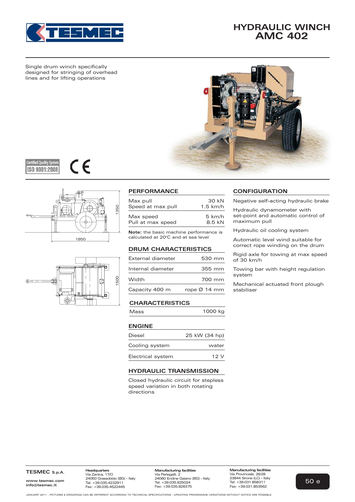

# **HYDRAULIC WINCH AMC 402**

Single drum winch specifically designed for stringing of overhead lines and for lifting operations









| Max pull                       | 30 kN            |
|--------------------------------|------------------|
| Speed at max pull              | $1.5$ km/h       |
| Max speed<br>Pull at max speed | 5 km/h<br>8.5 kN |

**Note:** the basic machine performance is calculated at 20°C and at sea level

# **DRUM CHARACTERISTICS**

| External diameter | 530 mm                   |
|-------------------|--------------------------|
| Internal diameter | 355 mm                   |
| Width             | 700 mm                   |
| Capacity 400 m    | rope $\varnothing$ 14 mm |

# **CHARACTERISTICS**

| Mass          | 1000 kg |
|---------------|---------|
| <b>ENGINE</b> |         |

| Diesel            | 25 kW (34 hp) |
|-------------------|---------------|
| Cooling system    | water         |
| Electrical system | 12V           |

# **HYDRAULIC TRANSMISSION**

Closed hydraulic circuit for stepless speed variation in both rotating directions

# **PERFORMANCE CONFIGURATION**

Negative self-acting hydraulic brake

Hydraulic dynamometer with set-point and automatic control of maximum pull

Hydraulic oil cooling system

Automatic level wind suitable for correct rope winding on the drum

Rigid axle for towing at max speed of 30 km/h

Towing bar with height regulation system

Mechanical actuated front plough stabiliser

**TESMEC S.p.A.**

**www.tesmec.com info@tesmec.it**

**Headquarters** Via Zanica, 17/O 24050 Grassobbio (BG) - Italy Tel: +39.035.4232911 Fax: +39.035.4522445

**Manufacturing facilities** Via Provinciale, 26/28 23844 Sirone (LC) - Italy Tel: +39.031.858311 Fax: +39.031.853562